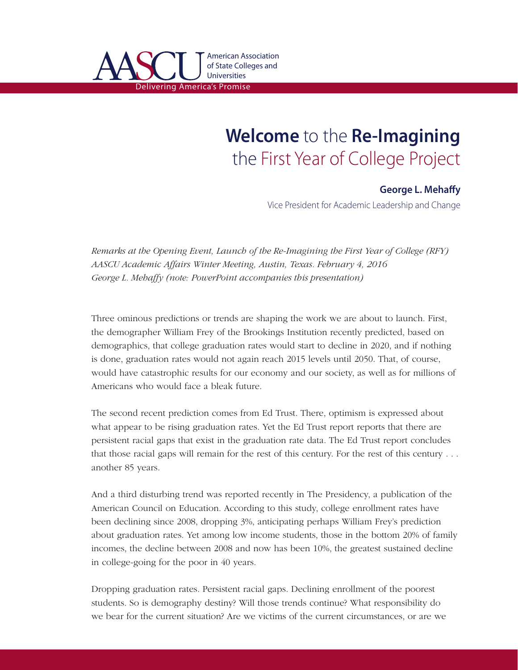

## **Welcome** to the **Re-Imagining** the First Year of College Project

## **George L. Mehaffy**

Vice President for Academic Leadership and Change

*Remarks at the Opening Event, Launch of the Re-Imagining the First Year of College (RFY) AASCU Academic Affairs Winter Meeting, Austin, Texas. February 4, 2016 George L. Mehaffy (note: PowerPoint accompanies this presentation)*

Three ominous predictions or trends are shaping the work we are about to launch. First, the demographer William Frey of the Brookings Institution recently predicted, based on demographics, that college graduation rates would start to decline in 2020, and if nothing is done, graduation rates would not again reach 2015 levels until 2050. That, of course, would have catastrophic results for our economy and our society, as well as for millions of Americans who would face a bleak future.

The second recent prediction comes from Ed Trust. There, optimism is expressed about what appear to be rising graduation rates. Yet the Ed Trust report reports that there are persistent racial gaps that exist in the graduation rate data. The Ed Trust report concludes that those racial gaps will remain for the rest of this century. For the rest of this century . . . another 85 years.

And a third disturbing trend was reported recently in The Presidency, a publication of the American Council on Education. According to this study, college enrollment rates have been declining since 2008, dropping 3%, anticipating perhaps William Frey's prediction about graduation rates. Yet among low income students, those in the bottom 20% of family incomes, the decline between 2008 and now has been 10%, the greatest sustained decline in college-going for the poor in 40 years.

Dropping graduation rates. Persistent racial gaps. Declining enrollment of the poorest students. So is demography destiny? Will those trends continue? What responsibility do we bear for the current situation? Are we victims of the current circumstances, or are we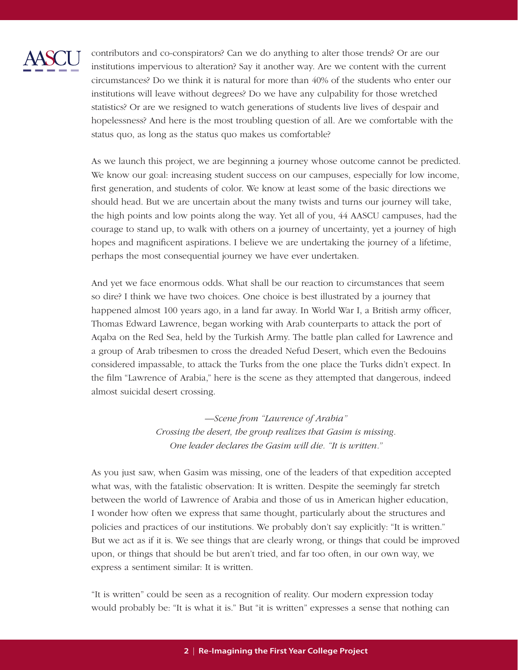

contributors and co-conspirators? Can we do anything to alter those trends? Or are our  $\sim$  institutions impervious to alteration? Say it another way. Are we content with the current circumstances? Do we think it is natural for more than 40% of the students who enter our institutions will leave without degrees? Do we have any culpability for those wretched statistics? Or are we resigned to watch generations of students live lives of despair and hopelessness? And here is the most troubling question of all. Are we comfortable with the status quo, as long as the status quo makes us comfortable?

As we launch this project, we are beginning a journey whose outcome cannot be predicted. We know our goal: increasing student success on our campuses, especially for low income, first generation, and students of color. We know at least some of the basic directions we should head. But we are uncertain about the many twists and turns our journey will take, the high points and low points along the way. Yet all of you, 44 AASCU campuses, had the courage to stand up, to walk with others on a journey of uncertainty, yet a journey of high hopes and magnificent aspirations. I believe we are undertaking the journey of a lifetime, perhaps the most consequential journey we have ever undertaken.

And yet we face enormous odds. What shall be our reaction to circumstances that seem so dire? I think we have two choices. One choice is best illustrated by a journey that happened almost 100 years ago, in a land far away. In World War I, a British army officer, Thomas Edward Lawrence, began working with Arab counterparts to attack the port of Aqaba on the Red Sea, held by the Turkish Army. The battle plan called for Lawrence and a group of Arab tribesmen to cross the dreaded Nefud Desert, which even the Bedouins considered impassable, to attack the Turks from the one place the Turks didn't expect. In the film "Lawrence of Arabia," here is the scene as they attempted that dangerous, indeed almost suicidal desert crossing.

> *—Scene from "Lawrence of Arabia" Crossing the desert, the group realizes that Gasim is missing. One leader declares the Gasim will die. "It is written."*

As you just saw, when Gasim was missing, one of the leaders of that expedition accepted what was, with the fatalistic observation: It is written. Despite the seemingly far stretch between the world of Lawrence of Arabia and those of us in American higher education, I wonder how often we express that same thought, particularly about the structures and policies and practices of our institutions. We probably don't say explicitly: "It is written." But we act as if it is. We see things that are clearly wrong, or things that could be improved upon, or things that should be but aren't tried, and far too often, in our own way, we express a sentiment similar: It is written.

"It is written" could be seen as a recognition of reality. Our modern expression today would probably be: "It is what it is." But "it is written" expresses a sense that nothing can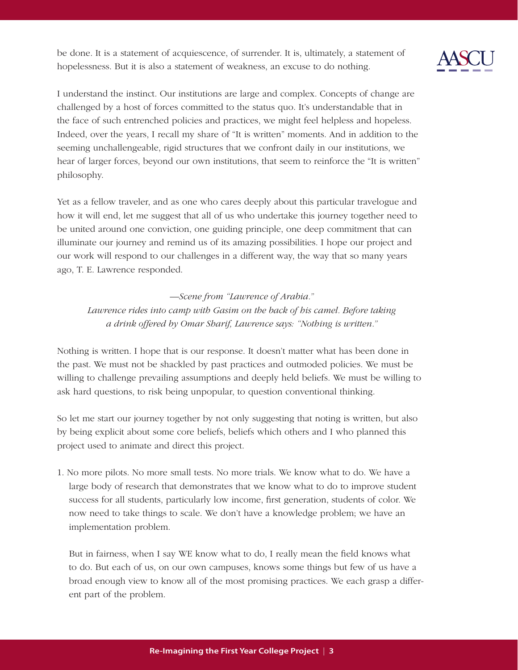be done. It is a statement of acquiescence, of surrender. It is, ultimately, a statement of hopelessness. But it is also a statement of weakness, an excuse to do nothing.



I understand the instinct. Our institutions are large and complex. Concepts of change are challenged by a host of forces committed to the status quo. It's understandable that in the face of such entrenched policies and practices, we might feel helpless and hopeless. Indeed, over the years, I recall my share of "It is written" moments. And in addition to the seeming unchallengeable, rigid structures that we confront daily in our institutions, we hear of larger forces, beyond our own institutions, that seem to reinforce the "It is written" philosophy.

Yet as a fellow traveler, and as one who cares deeply about this particular travelogue and how it will end, let me suggest that all of us who undertake this journey together need to be united around one conviction, one guiding principle, one deep commitment that can illuminate our journey and remind us of its amazing possibilities. I hope our project and our work will respond to our challenges in a different way, the way that so many years ago, T. E. Lawrence responded.

*—Scene from "Lawrence of Arabia." Lawrence rides into camp with Gasim on the back of his camel. Before taking*

*a drink offered by Omar Sharif, Lawrence says: "Nothing is written."* 

Nothing is written. I hope that is our response. It doesn't matter what has been done in the past. We must not be shackled by past practices and outmoded policies. We must be willing to challenge prevailing assumptions and deeply held beliefs. We must be willing to ask hard questions, to risk being unpopular, to question conventional thinking.

So let me start our journey together by not only suggesting that noting is written, but also by being explicit about some core beliefs, beliefs which others and I who planned this project used to animate and direct this project.

1. No more pilots. No more small tests. No more trials. We know what to do. We have a large body of research that demonstrates that we know what to do to improve student success for all students, particularly low income, first generation, students of color. We now need to take things to scale. We don't have a knowledge problem; we have an implementation problem.

But in fairness, when I say WE know what to do, I really mean the field knows what to do. But each of us, on our own campuses, knows some things but few of us have a broad enough view to know all of the most promising practices. We each grasp a different part of the problem.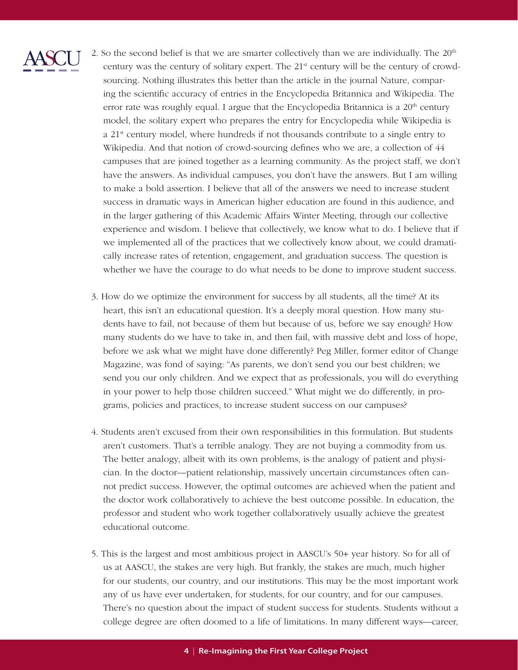

2. So the second belief is that we are smarter collectively than we are individually. The  $20<sup>th</sup>$ century was the century of solitary expert. The  $21<sup>st</sup>$  century will be the century of crowdsourcing. Nothing illustrates this better than the article in the journal Nature, comparing the scientific accuracy of entries in the Encyclopedia Britannica and Wikipedia. The error rate was roughly equal. I argue that the Encyclopedia Britannica is a 20<sup>th</sup> century model, the solitary expert who prepares the entry for Encyclopedia while Wikipedia is a 21<sup>st</sup> century model, where hundreds if not thousands contribute to a single entry to Wikipedia. And that notion of crowd-sourcing defines who we are, a collection of 44 campuses that are joined together as a learning community. As the project staff, we don't have the answers. As individual campuses, you don't have the answers. But I am willing to make a bold assertion. I believe that all of the answers we need to increase student success in dramatic ways in American higher education are found in this audience, and in the larger gathering of this Academic Affairs Winter Meeting, through our collective experience and wisdom. I believe that collectively, we know what to do. I believe that if we implemented all of the practices that we collectively know about, we could dramatically increase rates of retention, engagement, and graduation success. The question is whether we have the courage to do what needs to be done to improve student success.

- 3. How do we optimize the environment for success by all students, all the time? At its heart, this isn't an educational question. It's a deeply moral question. How many students have to fail, not because of them but because of us, before we say enough? How many students do we have to take in, and then fail, with massive debt and loss of hope, before we ask what we might have done differently? Peg Miller, former editor of Change Magazine, was fond of saying: "As parents, we don't send you our best children; we send you our only children. And we expect that as professionals, you will do everything in your power to help those children succeed." What might we do differently, in programs, policies and practices, to increase student success on our campuses?
- 4. Students aren't excused from their own responsibilities in this formulation. But students aren't customers. That's a terrible analogy. They are not buying a commodity from us. The better analogy, albeit with its own problems, is the analogy of patient and physician. In the doctor—patient relationship, massively uncertain circumstances often cannot predict success. However, the optimal outcomes are achieved when the patient and the doctor work collaboratively to achieve the best outcome possible. In education, the professor and student who work together collaboratively usually achieve the greatest educational outcome.
- 5. This is the largest and most ambitious project in AASCU's 50+ year history. So for all of us at AASCU, the stakes are very high. But frankly, the stakes are much, much higher for our students, our country, and our institutions. This may be the most important work any of us have ever undertaken, for students, for our country, and for our campuses. There's no question about the impact of student success for students. Students without a college degree are often doomed to a life of limitations. In many different ways—career,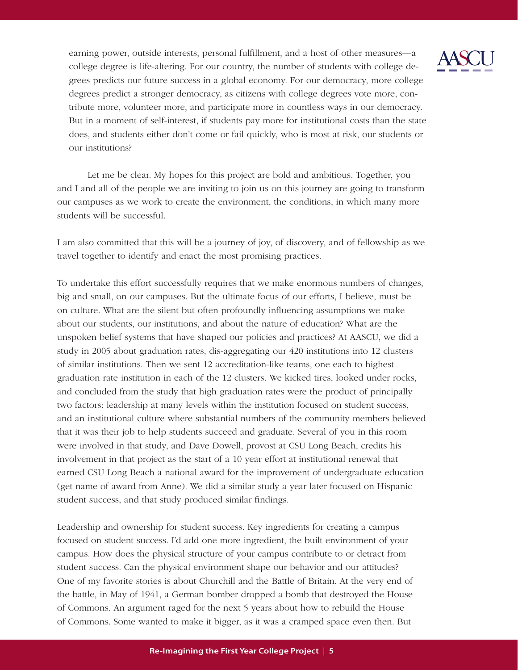

Let me be clear. My hopes for this project are bold and ambitious. Together, you and I and all of the people we are inviting to join us on this journey are going to transform our campuses as we work to create the environment, the conditions, in which many more students will be successful.

I am also committed that this will be a journey of joy, of discovery, and of fellowship as we travel together to identify and enact the most promising practices.

To undertake this effort successfully requires that we make enormous numbers of changes, big and small, on our campuses. But the ultimate focus of our efforts, I believe, must be on culture. What are the silent but often profoundly influencing assumptions we make about our students, our institutions, and about the nature of education? What are the unspoken belief systems that have shaped our policies and practices? At AASCU, we did a study in 2005 about graduation rates, dis-aggregating our 420 institutions into 12 clusters of similar institutions. Then we sent 12 accreditation-like teams, one each to highest graduation rate institution in each of the 12 clusters. We kicked tires, looked under rocks, and concluded from the study that high graduation rates were the product of principally two factors: leadership at many levels within the institution focused on student success, and an institutional culture where substantial numbers of the community members believed that it was their job to help students succeed and graduate. Several of you in this room were involved in that study, and Dave Dowell, provost at CSU Long Beach, credits his involvement in that project as the start of a 10 year effort at institutional renewal that earned CSU Long Beach a national award for the improvement of undergraduate education (get name of award from Anne). We did a similar study a year later focused on Hispanic student success, and that study produced similar findings.

Leadership and ownership for student success. Key ingredients for creating a campus focused on student success. I'd add one more ingredient, the built environment of your campus. How does the physical structure of your campus contribute to or detract from student success. Can the physical environment shape our behavior and our attitudes? One of my favorite stories is about Churchill and the Battle of Britain. At the very end of the battle, in May of 1941, a German bomber dropped a bomb that destroyed the House of Commons. An argument raged for the next 5 years about how to rebuild the House of Commons. Some wanted to make it bigger, as it was a cramped space even then. But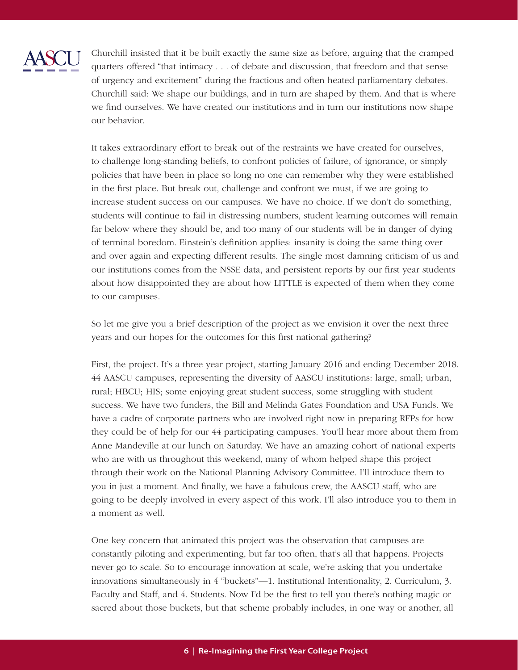

Churchill insisted that it be built exactly the same size as before, arguing that the cramped quarters offered "that intimacy  $\dots$  of debate and discussion, that freedom and that sense of urgency and excitement" during the fractious and often heated parliamentary debates. Churchill said: We shape our buildings, and in turn are shaped by them. And that is where we find ourselves. We have created our institutions and in turn our institutions now shape our behavior.

It takes extraordinary effort to break out of the restraints we have created for ourselves, to challenge long-standing beliefs, to confront policies of failure, of ignorance, or simply policies that have been in place so long no one can remember why they were established in the first place. But break out, challenge and confront we must, if we are going to increase student success on our campuses. We have no choice. If we don't do something, students will continue to fail in distressing numbers, student learning outcomes will remain far below where they should be, and too many of our students will be in danger of dying of terminal boredom. Einstein's definition applies: insanity is doing the same thing over and over again and expecting different results. The single most damning criticism of us and our institutions comes from the NSSE data, and persistent reports by our first year students about how disappointed they are about how LITTLE is expected of them when they come to our campuses.

So let me give you a brief description of the project as we envision it over the next three years and our hopes for the outcomes for this first national gathering?

First, the project. It's a three year project, starting January 2016 and ending December 2018. 44 AASCU campuses, representing the diversity of AASCU institutions: large, small; urban, rural; HBCU; HIS; some enjoying great student success, some struggling with student success. We have two funders, the Bill and Melinda Gates Foundation and USA Funds. We have a cadre of corporate partners who are involved right now in preparing RFPs for how they could be of help for our 44 participating campuses. You'll hear more about them from Anne Mandeville at our lunch on Saturday. We have an amazing cohort of national experts who are with us throughout this weekend, many of whom helped shape this project through their work on the National Planning Advisory Committee. I'll introduce them to you in just a moment. And finally, we have a fabulous crew, the AASCU staff, who are going to be deeply involved in every aspect of this work. I'll also introduce you to them in a moment as well.

One key concern that animated this project was the observation that campuses are constantly piloting and experimenting, but far too often, that's all that happens. Projects never go to scale. So to encourage innovation at scale, we're asking that you undertake innovations simultaneously in 4 "buckets"—1. Institutional Intentionality, 2. Curriculum, 3. Faculty and Staff, and 4. Students. Now I'd be the first to tell you there's nothing magic or sacred about those buckets, but that scheme probably includes, in one way or another, all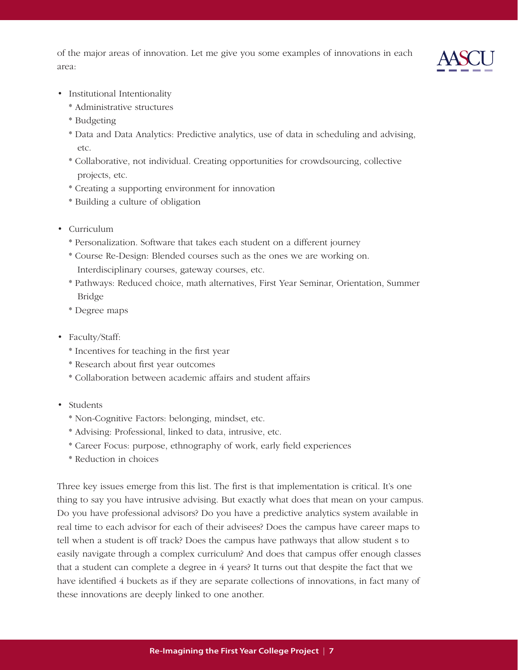of the major areas of innovation. Let me give you some examples of innovations in each area:



- Institutional Intentionality
	- \* Administrative structures
	- \* Budgeting
	- \* Data and Data Analytics: Predictive analytics, use of data in scheduling and advising, etc.
	- \* Collaborative, not individual. Creating opportunities for crowdsourcing, collective projects, etc.
	- \* Creating a supporting environment for innovation
	- \* Building a culture of obligation
- • Curriculum
	- \* Personalization. Software that takes each student on a different journey
	- \* Course Re-Design: Blended courses such as the ones we are working on. Interdisciplinary courses, gateway courses, etc.
	- \* Pathways: Reduced choice, math alternatives, First Year Seminar, Orientation, Summer Bridge
	- \* Degree maps
- Faculty/Staff:
	- \* Incentives for teaching in the first year
	- \* Research about first year outcomes
	- \* Collaboration between academic affairs and student affairs
- Students
	- \* Non-Cognitive Factors: belonging, mindset, etc.
	- \* Advising: Professional, linked to data, intrusive, etc.
	- \* Career Focus: purpose, ethnography of work, early field experiences
	- \* Reduction in choices

Three key issues emerge from this list. The first is that implementation is critical. It's one thing to say you have intrusive advising. But exactly what does that mean on your campus. Do you have professional advisors? Do you have a predictive analytics system available in real time to each advisor for each of their advisees? Does the campus have career maps to tell when a student is off track? Does the campus have pathways that allow student s to easily navigate through a complex curriculum? And does that campus offer enough classes that a student can complete a degree in 4 years? It turns out that despite the fact that we have identified 4 buckets as if they are separate collections of innovations, in fact many of these innovations are deeply linked to one another.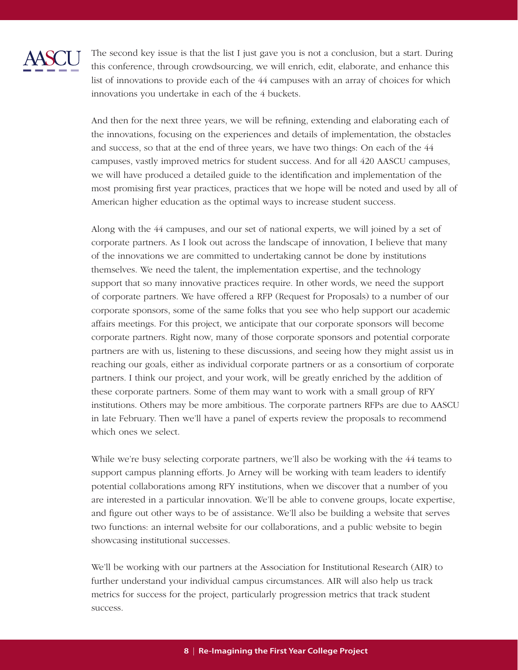

The second key issue is that the list I just gave you is not a conclusion, but a start. During this conference, through crowdsourcing, we will enrich, edit, elaborate, and enhance this list of innovations to provide each of the 44 campuses with an array of choices for which innovations you undertake in each of the 4 buckets.

And then for the next three years, we will be refining, extending and elaborating each of the innovations, focusing on the experiences and details of implementation, the obstacles and success, so that at the end of three years, we have two things: On each of the 44 campuses, vastly improved metrics for student success. And for all 420 AASCU campuses, we will have produced a detailed guide to the identification and implementation of the most promising first year practices, practices that we hope will be noted and used by all of American higher education as the optimal ways to increase student success.

Along with the 44 campuses, and our set of national experts, we will joined by a set of corporate partners. As I look out across the landscape of innovation, I believe that many of the innovations we are committed to undertaking cannot be done by institutions themselves. We need the talent, the implementation expertise, and the technology support that so many innovative practices require. In other words, we need the support of corporate partners. We have offered a RFP (Request for Proposals) to a number of our corporate sponsors, some of the same folks that you see who help support our academic affairs meetings. For this project, we anticipate that our corporate sponsors will become corporate partners. Right now, many of those corporate sponsors and potential corporate partners are with us, listening to these discussions, and seeing how they might assist us in reaching our goals, either as individual corporate partners or as a consortium of corporate partners. I think our project, and your work, will be greatly enriched by the addition of these corporate partners. Some of them may want to work with a small group of RFY institutions. Others may be more ambitious. The corporate partners RFPs are due to AASCU in late February. Then we'll have a panel of experts review the proposals to recommend which ones we select.

While we're busy selecting corporate partners, we'll also be working with the 44 teams to support campus planning efforts. Jo Arney will be working with team leaders to identify potential collaborations among RFY institutions, when we discover that a number of you are interested in a particular innovation. We'll be able to convene groups, locate expertise, and figure out other ways to be of assistance. We'll also be building a website that serves two functions: an internal website for our collaborations, and a public website to begin showcasing institutional successes.

We'll be working with our partners at the Association for Institutional Research (AIR) to further understand your individual campus circumstances. AIR will also help us track metrics for success for the project, particularly progression metrics that track student success.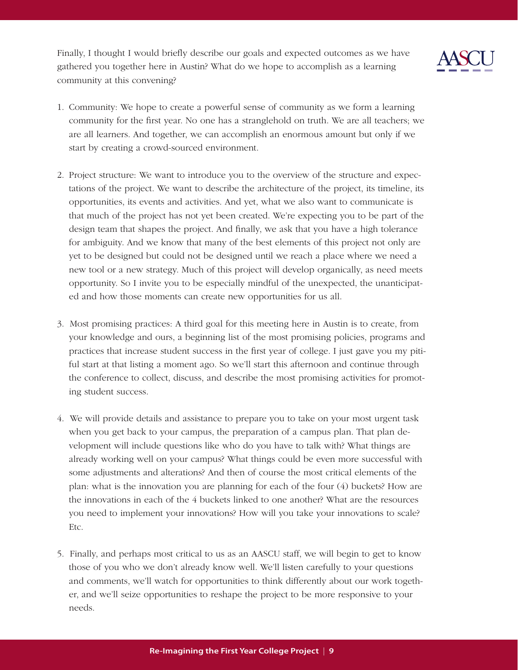Finally, I thought I would briefly describe our goals and expected outcomes as we have gathered you together here in Austin? What do we hope to accomplish as a learning community at this convening?



- 1. Community: We hope to create a powerful sense of community as we form a learning community for the first year. No one has a stranglehold on truth. We are all teachers; we are all learners. And together, we can accomplish an enormous amount but only if we start by creating a crowd-sourced environment.
- 2. Project structure: We want to introduce you to the overview of the structure and expectations of the project. We want to describe the architecture of the project, its timeline, its opportunities, its events and activities. And yet, what we also want to communicate is that much of the project has not yet been created. We're expecting you to be part of the design team that shapes the project. And finally, we ask that you have a high tolerance for ambiguity. And we know that many of the best elements of this project not only are yet to be designed but could not be designed until we reach a place where we need a new tool or a new strategy. Much of this project will develop organically, as need meets opportunity. So I invite you to be especially mindful of the unexpected, the unanticipated and how those moments can create new opportunities for us all.
- 3. Most promising practices: A third goal for this meeting here in Austin is to create, from your knowledge and ours, a beginning list of the most promising policies, programs and practices that increase student success in the first year of college. I just gave you my pitiful start at that listing a moment ago. So we'll start this afternoon and continue through the conference to collect, discuss, and describe the most promising activities for promoting student success.
- 4. We will provide details and assistance to prepare you to take on your most urgent task when you get back to your campus, the preparation of a campus plan. That plan development will include questions like who do you have to talk with? What things are already working well on your campus? What things could be even more successful with some adjustments and alterations? And then of course the most critical elements of the plan: what is the innovation you are planning for each of the four (4) buckets? How are the innovations in each of the 4 buckets linked to one another? What are the resources you need to implement your innovations? How will you take your innovations to scale? Etc.
- 5. Finally, and perhaps most critical to us as an AASCU staff, we will begin to get to know those of you who we don't already know well. We'll listen carefully to your questions and comments, we'll watch for opportunities to think differently about our work together, and we'll seize opportunities to reshape the project to be more responsive to your needs.